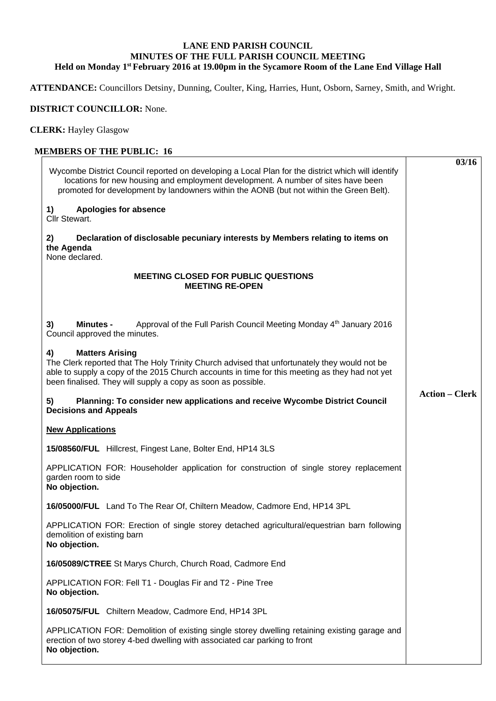## **LANE END PARISH COUNCIL MINUTES OF THE FULL PARISH COUNCIL MEETING Held on Monday 1st February 2016 at 19.00pm in the Sycamore Room of the Lane End Village Hall**

**ATTENDANCE:** Councillors Detsiny, Dunning, Coulter, King, Harries, Hunt, Osborn, Sarney, Smith, and Wright.

## **DISTRICT COUNCILLOR:** None.

**CLERK:** Hayley Glasgow

## **MEMBERS OF THE PUBLIC: 16**

|                                                                                                                                                                                                                                                                                                | 03/16                 |
|------------------------------------------------------------------------------------------------------------------------------------------------------------------------------------------------------------------------------------------------------------------------------------------------|-----------------------|
| Wycombe District Council reported on developing a Local Plan for the district which will identify<br>locations for new housing and employment development. A number of sites have been<br>promoted for development by landowners within the AONB (but not within the Green Belt).              |                       |
| Apologies for absence<br>1)<br>Cllr Stewart.                                                                                                                                                                                                                                                   |                       |
| Declaration of disclosable pecuniary interests by Members relating to items on<br>2)<br>the Agenda<br>None declared.                                                                                                                                                                           |                       |
| <b>MEETING CLOSED FOR PUBLIC QUESTIONS</b><br><b>MEETING RE-OPEN</b>                                                                                                                                                                                                                           |                       |
| 3)<br>Approval of the Full Parish Council Meeting Monday 4 <sup>th</sup> January 2016<br><b>Minutes -</b><br>Council approved the minutes.                                                                                                                                                     |                       |
| <b>Matters Arising</b><br>4)<br>The Clerk reported that The Holy Trinity Church advised that unfortunately they would not be<br>able to supply a copy of the 2015 Church accounts in time for this meeting as they had not yet<br>been finalised. They will supply a copy as soon as possible. |                       |
| Planning: To consider new applications and receive Wycombe District Council<br>5)<br><b>Decisions and Appeals</b>                                                                                                                                                                              | <b>Action – Clerk</b> |
| <b>New Applications</b>                                                                                                                                                                                                                                                                        |                       |
| 15/08560/FUL Hillcrest, Fingest Lane, Bolter End, HP14 3LS                                                                                                                                                                                                                                     |                       |
| APPLICATION FOR: Householder application for construction of single storey replacement<br>garden room to side<br>No objection.                                                                                                                                                                 |                       |
| 16/05000/FUL Land To The Rear Of, Chiltern Meadow, Cadmore End, HP14 3PL                                                                                                                                                                                                                       |                       |
| APPLICATION FOR: Erection of single storey detached agricultural/equestrian barn following<br>demolition of existing barn<br>No objection.                                                                                                                                                     |                       |
| 16/05089/CTREE St Marys Church, Church Road, Cadmore End                                                                                                                                                                                                                                       |                       |
| APPLICATION FOR: Fell T1 - Douglas Fir and T2 - Pine Tree<br>No objection.                                                                                                                                                                                                                     |                       |
| 16/05075/FUL Chiltern Meadow, Cadmore End, HP14 3PL                                                                                                                                                                                                                                            |                       |
| APPLICATION FOR: Demolition of existing single storey dwelling retaining existing garage and<br>erection of two storey 4-bed dwelling with associated car parking to front<br>No objection.                                                                                                    |                       |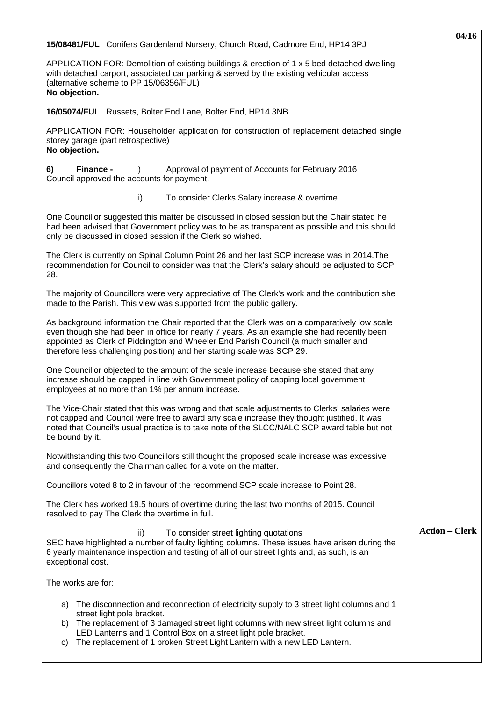| 15/08481/FUL Conifers Gardenland Nursery, Church Road, Cadmore End, HP14 3PJ                                                                                                                                                                                                                                                                                                  | 04/16                 |
|-------------------------------------------------------------------------------------------------------------------------------------------------------------------------------------------------------------------------------------------------------------------------------------------------------------------------------------------------------------------------------|-----------------------|
| APPLICATION FOR: Demolition of existing buildings & erection of 1 x 5 bed detached dwelling<br>with detached carport, associated car parking & served by the existing vehicular access<br>(alternative scheme to PP 15/06356/FUL)<br>No objection.                                                                                                                            |                       |
| 16/05074/FUL Russets, Bolter End Lane, Bolter End, HP14 3NB                                                                                                                                                                                                                                                                                                                   |                       |
| APPLICATION FOR: Householder application for construction of replacement detached single<br>storey garage (part retrospective)<br>No objection.                                                                                                                                                                                                                               |                       |
| Finance -<br>Approval of payment of Accounts for February 2016<br>6)<br>i)<br>Council approved the accounts for payment.                                                                                                                                                                                                                                                      |                       |
| ii)<br>To consider Clerks Salary increase & overtime                                                                                                                                                                                                                                                                                                                          |                       |
| One Councillor suggested this matter be discussed in closed session but the Chair stated he<br>had been advised that Government policy was to be as transparent as possible and this should<br>only be discussed in closed session if the Clerk so wished.                                                                                                                    |                       |
| The Clerk is currently on Spinal Column Point 26 and her last SCP increase was in 2014. The<br>recommendation for Council to consider was that the Clerk's salary should be adjusted to SCP<br>28.                                                                                                                                                                            |                       |
| The majority of Councillors were very appreciative of The Clerk's work and the contribution she<br>made to the Parish. This view was supported from the public gallery.                                                                                                                                                                                                       |                       |
| As background information the Chair reported that the Clerk was on a comparatively low scale<br>even though she had been in office for nearly 7 years. As an example she had recently been<br>appointed as Clerk of Piddington and Wheeler End Parish Council (a much smaller and<br>therefore less challenging position) and her starting scale was SCP 29.                  |                       |
| One Councillor objected to the amount of the scale increase because she stated that any<br>increase should be capped in line with Government policy of capping local government<br>employees at no more than 1% per annum increase.                                                                                                                                           |                       |
| The Vice-Chair stated that this was wrong and that scale adjustments to Clerks' salaries were<br>not capped and Council were free to award any scale increase they thought justified. It was<br>noted that Council's usual practice is to take note of the SLCC/NALC SCP award table but not<br>be bound by it.                                                               |                       |
| Notwithstanding this two Councillors still thought the proposed scale increase was excessive<br>and consequently the Chairman called for a vote on the matter.                                                                                                                                                                                                                |                       |
| Councillors voted 8 to 2 in favour of the recommend SCP scale increase to Point 28.                                                                                                                                                                                                                                                                                           |                       |
| The Clerk has worked 19.5 hours of overtime during the last two months of 2015. Council<br>resolved to pay The Clerk the overtime in full.                                                                                                                                                                                                                                    |                       |
| To consider street lighting quotations<br>iii)<br>SEC have highlighted a number of faulty lighting columns. These issues have arisen during the<br>6 yearly maintenance inspection and testing of all of our street lights and, as such, is an<br>exceptional cost.                                                                                                           | <b>Action – Clerk</b> |
| The works are for:                                                                                                                                                                                                                                                                                                                                                            |                       |
| The disconnection and reconnection of electricity supply to 3 street light columns and 1<br>a)<br>street light pole bracket.<br>The replacement of 3 damaged street light columns with new street light columns and<br>b)<br>LED Lanterns and 1 Control Box on a street light pole bracket.<br>The replacement of 1 broken Street Light Lantern with a new LED Lantern.<br>C) |                       |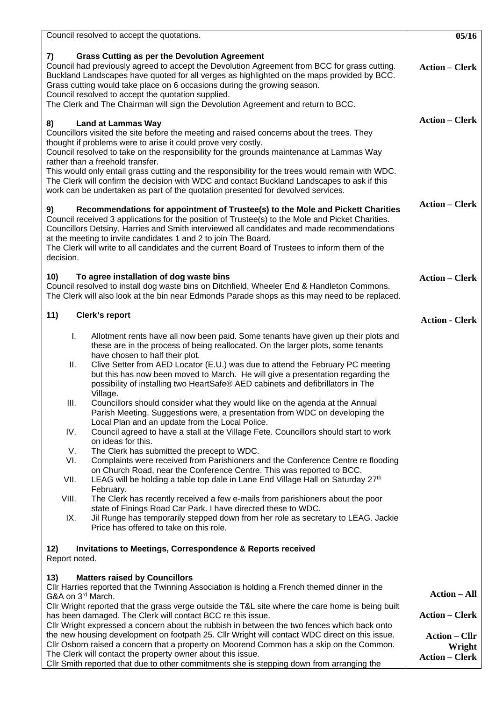| Council resolved to accept the quotations.                                                                                                                                                                                                                                                                                                                                                                                                                                     | 05/16                 |
|--------------------------------------------------------------------------------------------------------------------------------------------------------------------------------------------------------------------------------------------------------------------------------------------------------------------------------------------------------------------------------------------------------------------------------------------------------------------------------|-----------------------|
| <b>Grass Cutting as per the Devolution Agreement</b><br>7)<br>Council had previously agreed to accept the Devolution Agreement from BCC for grass cutting.<br>Buckland Landscapes have quoted for all verges as highlighted on the maps provided by BCC.<br>Grass cutting would take place on 6 occasions during the growing season.<br>Council resolved to accept the quotation supplied.<br>The Clerk and The Chairman will sign the Devolution Agreement and return to BCC. | <b>Action – Clerk</b> |
| <b>Land at Lammas Way</b><br>8)                                                                                                                                                                                                                                                                                                                                                                                                                                                | <b>Action – Clerk</b> |
| Councillors visited the site before the meeting and raised concerns about the trees. They<br>thought if problems were to arise it could prove very costly.                                                                                                                                                                                                                                                                                                                     |                       |
| Council resolved to take on the responsibility for the grounds maintenance at Lammas Way                                                                                                                                                                                                                                                                                                                                                                                       |                       |
| rather than a freehold transfer.<br>This would only entail grass cutting and the responsibility for the trees would remain with WDC.                                                                                                                                                                                                                                                                                                                                           |                       |
| The Clerk will confirm the decision with WDC and contact Buckland Landscapes to ask if this<br>work can be undertaken as part of the quotation presented for devolved services.                                                                                                                                                                                                                                                                                                |                       |
| Recommendations for appointment of Trustee(s) to the Mole and Pickett Charities                                                                                                                                                                                                                                                                                                                                                                                                | <b>Action – Clerk</b> |
| 9)<br>Council received 3 applications for the position of Trustee(s) to the Mole and Picket Charities.<br>Councillors Detsiny, Harries and Smith interviewed all candidates and made recommendations                                                                                                                                                                                                                                                                           |                       |
| at the meeting to invite candidates 1 and 2 to join The Board.                                                                                                                                                                                                                                                                                                                                                                                                                 |                       |
| The Clerk will write to all candidates and the current Board of Trustees to inform them of the<br>decision.                                                                                                                                                                                                                                                                                                                                                                    |                       |
| To agree installation of dog waste bins<br>10)                                                                                                                                                                                                                                                                                                                                                                                                                                 |                       |
| Council resolved to install dog waste bins on Ditchfield, Wheeler End & Handleton Commons.<br>The Clerk will also look at the bin near Edmonds Parade shops as this may need to be replaced.                                                                                                                                                                                                                                                                                   | <b>Action – Clerk</b> |
| 11)<br>Clerk's report                                                                                                                                                                                                                                                                                                                                                                                                                                                          | <b>Action - Clerk</b> |
| Allotment rents have all now been paid. Some tenants have given up their plots and<br>L.                                                                                                                                                                                                                                                                                                                                                                                       |                       |
| these are in the process of being reallocated. On the larger plots, some tenants<br>have chosen to half their plot.                                                                                                                                                                                                                                                                                                                                                            |                       |
| Clive Setter from AED Locator (E.U.) was due to attend the February PC meeting<br>Ш.<br>but this has now been moved to March. He will give a presentation regarding the<br>possibility of installing two HeartSafe® AED cabinets and defibrillators in The<br>Village.                                                                                                                                                                                                         |                       |
| Councillors should consider what they would like on the agenda at the Annual<br>III.<br>Parish Meeting. Suggestions were, a presentation from WDC on developing the                                                                                                                                                                                                                                                                                                            |                       |
| Local Plan and an update from the Local Police.<br>IV.<br>Council agreed to have a stall at the Village Fete. Councillors should start to work<br>on ideas for this.                                                                                                                                                                                                                                                                                                           |                       |
| V.<br>The Clerk has submitted the precept to WDC.                                                                                                                                                                                                                                                                                                                                                                                                                              |                       |
| Complaints were received from Parishioners and the Conference Centre re flooding<br>VI.<br>on Church Road, near the Conference Centre. This was reported to BCC.                                                                                                                                                                                                                                                                                                               |                       |
| VII.<br>LEAG will be holding a table top dale in Lane End Village Hall on Saturday 27 <sup>th</sup><br>February.                                                                                                                                                                                                                                                                                                                                                               |                       |
| The Clerk has recently received a few e-mails from parishioners about the poor<br>VIII.<br>state of Finings Road Car Park. I have directed these to WDC.                                                                                                                                                                                                                                                                                                                       |                       |
| Jil Runge has temporarily stepped down from her role as secretary to LEAG. Jackie<br>IX.<br>Price has offered to take on this role.                                                                                                                                                                                                                                                                                                                                            |                       |
| <b>Invitations to Meetings, Correspondence &amp; Reports received</b><br>12)<br>Report noted.                                                                                                                                                                                                                                                                                                                                                                                  |                       |
| 13)<br><b>Matters raised by Councillors</b>                                                                                                                                                                                                                                                                                                                                                                                                                                    |                       |
| CIIr Harries reported that the Twinning Association is holding a French themed dinner in the                                                                                                                                                                                                                                                                                                                                                                                   | <b>Action - All</b>   |
| G&A on 3rd March.<br>Cllr Wright reported that the grass verge outside the T&L site where the care home is being built                                                                                                                                                                                                                                                                                                                                                         |                       |
| has been damaged. The Clerk will contact BCC re this issue.                                                                                                                                                                                                                                                                                                                                                                                                                    | <b>Action – Clerk</b> |
| Cllr Wright expressed a concern about the rubbish in between the two fences which back onto<br>the new housing development on footpath 25. Cllr Wright will contact WDC direct on this issue.                                                                                                                                                                                                                                                                                  | <b>Action – Cllr</b>  |
| Cllr Osborn raised a concern that a property on Moorend Common has a skip on the Common.                                                                                                                                                                                                                                                                                                                                                                                       | Wright                |
| The Clerk will contact the property owner about this issue.<br>CIIr Smith reported that due to other commitments she is stepping down from arranging the                                                                                                                                                                                                                                                                                                                       | <b>Action – Clerk</b> |